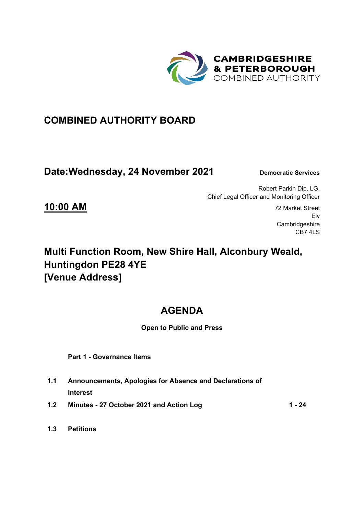

### **COMBINED AUTHORITY BOARD**

### **Date: Wednesday, 24 November 2021** Democratic Services

Robert Parkin Dip. LG. Chief Legal Officer and Monitoring Officer

**10:00 AM** 72 Market Street Ely **Cambridgeshire** CB7 4LS

# **Multi Function Room, New Shire Hall, Alconbury Weald, Huntingdon PE28 4YE [Venue Address]**

## **AGENDA**

#### **Open to Public and Press**

 **Part 1 - Governance Items** 

- **1.1 Announcements, Apologies for Absence and Declarations of Interest**
- **1.2 Minutes 27 October 2021 and Action Log 1 24**
- **1.3 Petitions**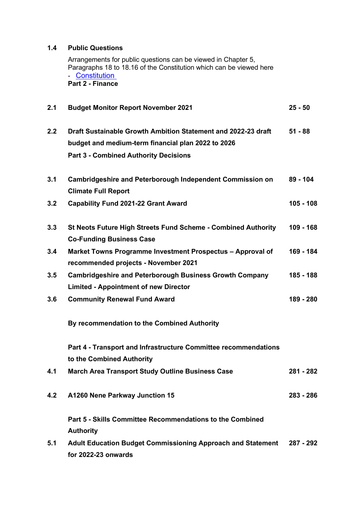#### **1.4 Public Questions**

Arrangements for public questions can be viewed in Chapter 5, Paragraphs 18 to 18.16 of the Constitution which can be viewed here - Constitution  **Part 2 - Finance** 

| 2.1 | <b>Budget Monitor Report November 2021</b>                                                                                                                          | $25 - 50$   |
|-----|---------------------------------------------------------------------------------------------------------------------------------------------------------------------|-------------|
| 2.2 | Draft Sustainable Growth Ambition Statement and 2022-23 draft<br>budget and medium-term financial plan 2022 to 2026<br><b>Part 3 - Combined Authority Decisions</b> | $51 - 88$   |
| 3.1 | Cambridgeshire and Peterborough Independent Commission on<br><b>Climate Full Report</b>                                                                             | 89 - 104    |
| 3.2 | <b>Capability Fund 2021-22 Grant Award</b>                                                                                                                          | $105 - 108$ |
| 3.3 | St Neots Future High Streets Fund Scheme - Combined Authority<br><b>Co-Funding Business Case</b>                                                                    | 109 - 168   |
| 3.4 | Market Towns Programme Investment Prospectus - Approval of<br>recommended projects - November 2021                                                                  | 169 - 184   |
| 3.5 | <b>Cambridgeshire and Peterborough Business Growth Company</b><br><b>Limited - Appointment of new Director</b>                                                      | 185 - 188   |
| 3.6 | <b>Community Renewal Fund Award</b>                                                                                                                                 | 189 - 280   |
|     | By recommendation to the Combined Authority                                                                                                                         |             |
|     | Part 4 - Transport and Infrastructure Committee recommendations<br>to the Combined Authority                                                                        |             |
| 4.1 | <b>March Area Transport Study Outline Business Case</b>                                                                                                             | 281 - 282   |
| 4.2 | A1260 Nene Parkway Junction 15                                                                                                                                      | 283 - 286   |
|     | Part 5 - Skills Committee Recommendations to the Combined<br><b>Authority</b>                                                                                       |             |
| 5.1 | <b>Adult Education Budget Commissioning Approach and Statement</b><br>for 2022-23 onwards                                                                           | 287 - 292   |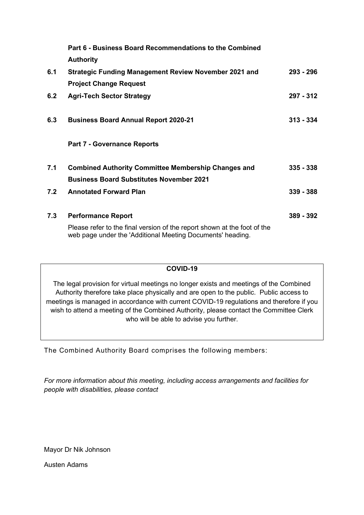|     | Part 6 - Business Board Recommendations to the Combined                                                                                |             |
|-----|----------------------------------------------------------------------------------------------------------------------------------------|-------------|
|     | <b>Authority</b>                                                                                                                       |             |
| 6.1 | <b>Strategic Funding Management Review November 2021 and</b>                                                                           | 293 - 296   |
|     | <b>Project Change Request</b>                                                                                                          |             |
| 6.2 | <b>Agri-Tech Sector Strategy</b>                                                                                                       | 297 - 312   |
| 6.3 | <b>Business Board Annual Report 2020-21</b>                                                                                            | $313 - 334$ |
|     | <b>Part 7 - Governance Reports</b>                                                                                                     |             |
| 7.1 | <b>Combined Authority Committee Membership Changes and</b>                                                                             | $335 - 338$ |
|     | <b>Business Board Substitutes November 2021</b>                                                                                        |             |
| 7.2 | <b>Annotated Forward Plan</b>                                                                                                          | $339 - 388$ |
| 7.3 | <b>Performance Report</b>                                                                                                              | 389 - 392   |
|     | Please refer to the final version of the report shown at the foot of the<br>web page under the 'Additional Meeting Documents' heading. |             |

#### **COVID-19**

The legal provision for virtual meetings no longer exists and meetings of the Combined Authority therefore take place physically and are open to the public. Public access to meetings is managed in accordance with current COVID-19 regulations and therefore if you wish to attend a meeting of the Combined Authority, please contact the Committee Clerk who will be able to advise you further.

The Combined Authority Board comprises the following members:

*For more information about this meeting, including access arrangements and facilities for people with disabilities, please contact* 

Mayor Dr Nik Johnson

Austen Adams